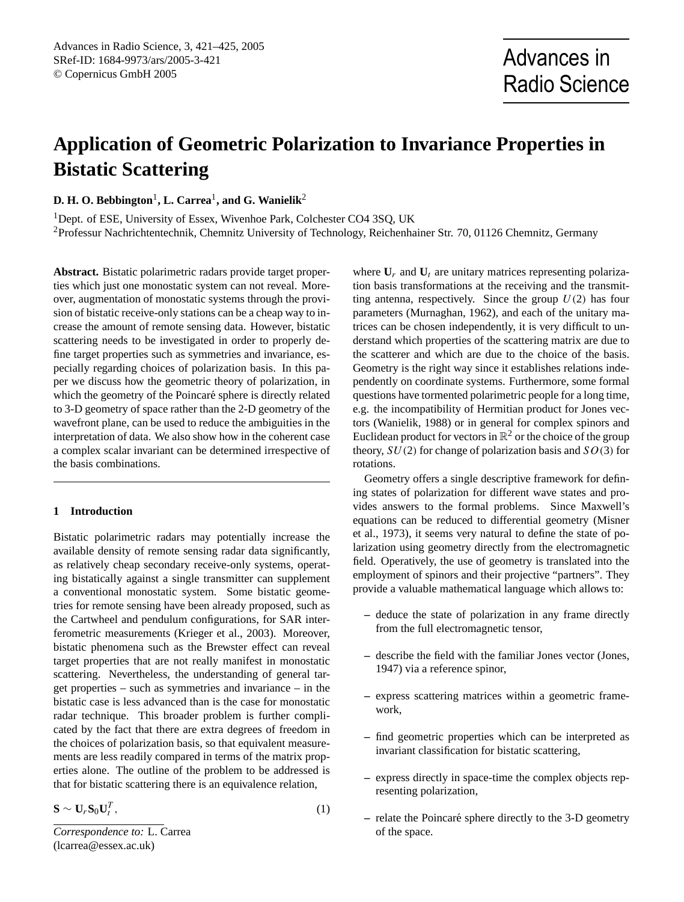# **Application of Geometric Polarization to Invariance Properties in Bistatic Scattering**

 $\mathbf{D.}\ \mathbf{H.}\ \mathbf{O.}\ \mathbf{Bebbington}^1,\ \mathbf{L.}\ \mathbf{Carrea}^1,\ \mathbf{and}\ \mathbf{G.}\ \mathbf{Wanielik}^2$ 

<sup>1</sup>Dept. of ESE, University of Essex, Wivenhoe Park, Colchester CO4 3SQ, UK <sup>2</sup>Professur Nachrichtentechnik, Chemnitz University of Technology, Reichenhainer Str. 70, 01126 Chemnitz, Germany

**Abstract.** Bistatic polarimetric radars provide target properties which just one monostatic system can not reveal. Moreover, augmentation of monostatic systems through the provision of bistatic receive-only stations can be a cheap way to increase the amount of remote sensing data. However, bistatic scattering needs to be investigated in order to properly define target properties such as symmetries and invariance, especially regarding choices of polarization basis. In this paper we discuss how the geometric theory of polarization, in which the geometry of the Poincaré sphere is directly related to 3-D geometry of space rather than the 2-D geometry of the wavefront plane, can be used to reduce the ambiguities in the interpretation of data. We also show how in the coherent case a complex scalar invariant can be determined irrespective of the basis combinations.

## **1 Introduction**

Bistatic polarimetric radars may potentially increase the available density of remote sensing radar data significantly, as relatively cheap secondary receive-only systems, operating bistatically against a single transmitter can supplement a conventional monostatic system. Some bistatic geometries for remote sensing have been already proposed, such as the Cartwheel and pendulum configurations, for SAR interferometric measurements [\(Krieger et al.,](#page-4-0) [2003\)](#page-4-0). Moreover, bistatic phenomena such as the Brewster effect can reveal target properties that are not really manifest in monostatic scattering. Nevertheless, the understanding of general target properties – such as symmetries and invariance – in the bistatic case is less advanced than is the case for monostatic radar technique. This broader problem is further complicated by the fact that there are extra degrees of freedom in the choices of polarization basis, so that equivalent measurements are less readily compared in terms of the matrix properties alone. The outline of the problem to be addressed is that for bistatic scattering there is an equivalence relation,

$$
\mathbf{S} \sim \mathbf{U}_r \mathbf{S}_0 \mathbf{U}_t^T, \tag{1}
$$

<span id="page-0-0"></span>*Correspondence to:* L. Carrea (lcarrea@essex.ac.uk)

where  $U_r$  and  $U_t$  are unitary matrices representing polarization basis transformations at the receiving and the transmitting antenna, respectively. Since the group  $U(2)$  has four parameters [\(Murnaghan,](#page-4-1) [1962\)](#page-4-1), and each of the unitary matrices can be chosen independently, it is very difficult to understand which properties of the scattering matrix are due to the scatterer and which are due to the choice of the basis. Geometry is the right way since it establishes relations independently on coordinate systems. Furthermore, some formal questions have tormented polarimetric people for a long time, e.g. the incompatibility of Hermitian product for Jones vectors [\(Wanielik,](#page-4-2) [1988\)](#page-4-2) or in general for complex spinors and Euclidean product for vectors in  $\mathbb{R}^2$  or the choice of the group theory,  $SU(2)$  for change of polarization basis and  $SO(3)$  for rotations.

Geometry offers a single descriptive framework for defining states of polarization for different wave states and provides answers to the formal problems. Since Maxwell's equations can be reduced to differential geometry [\(Misner](#page-4-3) [et al.,](#page-4-3) [1973\)](#page-4-3), it seems very natural to define the state of polarization using geometry directly from the electromagnetic field. Operatively, the use of geometry is translated into the employment of spinors and their projective "partners". They provide a valuable mathematical language which allows to:

- **–** deduce the state of polarization in any frame directly from the full electromagnetic tensor,
- **–** describe the field with the familiar Jones vector [\(Jones,](#page-3-0) [1947\)](#page-3-0) via a reference spinor,
- **–** express scattering matrices within a geometric framework,
- **–** find geometric properties which can be interpreted as invariant classification for bistatic scattering,
- **–** express directly in space-time the complex objects representing polarization,
- **–** relate the Poincare sphere directly to the 3-D geometry ´ of the space.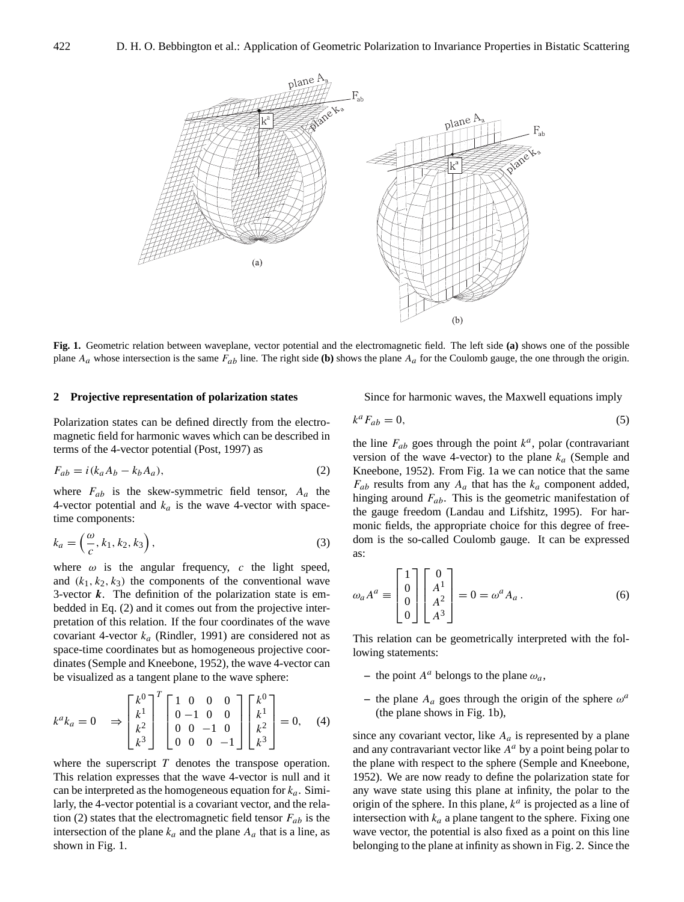

<span id="page-1-1"></span>**Fig. 1.** Geometric relation between waveplane, vector potential and the electromagnetic field. The left side **(a)** shows one of the possible plane  $A_a$  whose intersection is the same  $F_{ab}$  line. The right side (b) shows the plane  $A_a$  for the Coulomb gauge, the one through the origin.

#### **2 Projective representation of polarization states**

Polarization states can be defined directly from the electromagnetic field for harmonic waves which can be described in terms of the 4-vector potential [\(Post,](#page-4-4) [1997\)](#page-4-4) as

<span id="page-1-0"></span>
$$
F_{ab} = i(k_a A_b - k_b A_a),\tag{2}
$$

where  $F_{ab}$  is the skew-symmetric field tensor,  $A_a$  the 4-vector potential and  $k_a$  is the wave 4-vector with spacetime components:

$$
k_a = \left(\frac{\omega}{c}, k_1, k_2, k_3\right),\tag{3}
$$

where  $\omega$  is the angular frequency, c the light speed, and  $(k_1, k_2, k_3)$  the components of the conventional wave 3-vector  $k$ . The definition of the polarization state is embedded in Eq. [\(2\)](#page-1-0) and it comes out from the projective interpretation of this relation. If the four coordinates of the wave covariant 4-vector  $k_a$  [\(Rindler,](#page-4-5) [1991\)](#page-4-5) are considered not as space-time coordinates but as homogeneous projective coordinates [\(Semple and Kneebone,](#page-4-6) [1952\)](#page-4-6), the wave 4-vector can be visualized as a tangent plane to the wave sphere:

$$
k^{a}k_{a} = 0 \quad \Rightarrow \begin{bmatrix} k^{0} \\ k^{1} \\ k^{2} \\ k^{3} \end{bmatrix}^{T} \begin{bmatrix} 1 & 0 & 0 & 0 \\ 0 & -1 & 0 & 0 \\ 0 & 0 & -1 & 0 \\ 0 & 0 & 0 & -1 \end{bmatrix} \begin{bmatrix} k^{0} \\ k^{1} \\ k^{2} \\ k^{3} \end{bmatrix} = 0, \quad (4)
$$

where the superscript  $T$  denotes the transpose operation. This relation expresses that the wave 4-vector is null and it can be interpreted as the homogeneous equation for  $k_a$ . Similarly, the 4-vector potential is a covariant vector, and the rela-tion [\(2\)](#page-1-0) states that the electromagnetic field tensor  $F_{ab}$  is the intersection of the plane  $k_a$  and the plane  $A_a$  that is a line, as shown in Fig. [1.](#page-1-1)

Since for harmonic waves, the Maxwell equations imply

$$
k^a F_{ab} = 0,\t\t(5)
$$

the line  $F_{ab}$  goes through the point  $k^a$ , polar (contravariant version of the wave 4-vector) to the plane  $k_a$  [\(Semple and](#page-4-6) [Kneebone,](#page-4-6) [1952\)](#page-4-6). From Fig. [1a](#page-1-1) we can notice that the same  $F_{ab}$  results from any  $A_a$  that has the  $k_a$  component added, hinging around  $F_{ab}$ . This is the geometric manifestation of the gauge freedom [\(Landau and Lifshitz,](#page-4-7) [1995\)](#page-4-7). For harmonic fields, the appropriate choice for this degree of freedom is the so-called Coulomb gauge. It can be expressed as:

$$
\omega_a A^a \equiv \begin{bmatrix} 1 \\ 0 \\ 0 \\ 0 \end{bmatrix} \begin{bmatrix} 0 \\ A^1 \\ A^2 \\ A^3 \end{bmatrix} = 0 = \omega^a A_a.
$$
 (6)

This relation can be geometrically interpreted with the following statements:

- the point  $A^a$  belongs to the plane  $\omega_a$ ,
- $-$  the plane  $A_a$  goes through the origin of the sphere  $\omega^a$ (the plane shows in Fig. [1b](#page-1-1)),

since any covariant vector, like  $A_a$  is represented by a plane and any contravariant vector like  $A^a$  by a point being polar to the plane with respect to the sphere [\(Semple and Kneebone,](#page-4-6) [1952\)](#page-4-6). We are now ready to define the polarization state for any wave state using this plane at infinity, the polar to the origin of the sphere. In this plane,  $k^a$  is projected as a line of intersection with  $k_a$  a plane tangent to the sphere. Fixing one wave vector, the potential is also fixed as a point on this line belonging to the plane at infinity as shown in Fig. [2.](#page-2-0) Since the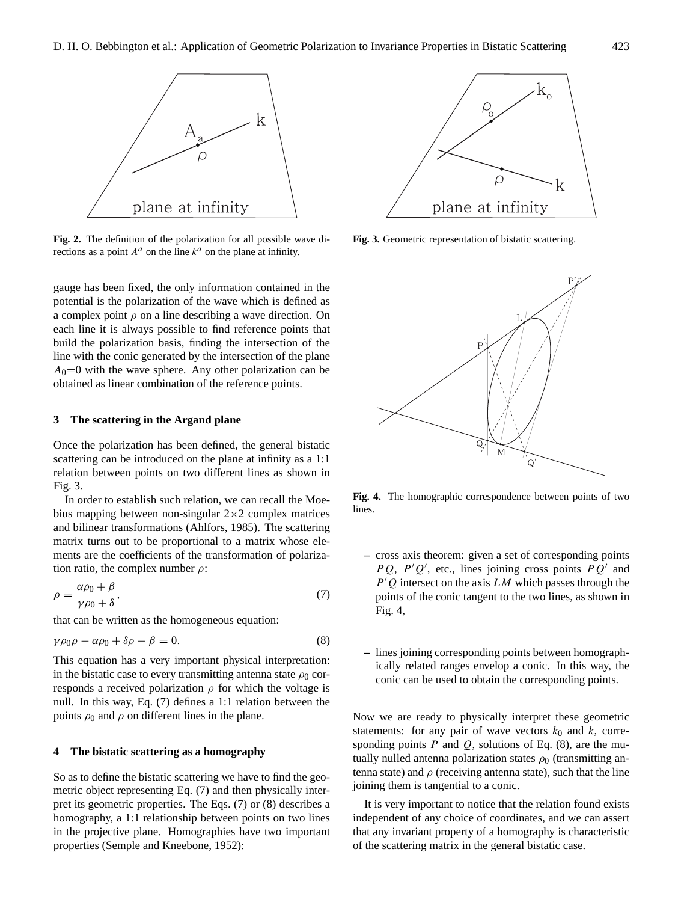

<span id="page-2-0"></span>**Fig. 2.** The definition of the polarization for all possible wave directions as a point  $A^a$  on the line  $k^a$  on the plane at infinity.

gauge has been fixed, the only information contained in the potential is the polarization of the wave which is defined as a complex point  $\rho$  on a line describing a wave direction. On each line it is always possible to find reference points that build the polarization basis, finding the intersection of the line with the conic generated by the intersection of the plane  $A_0=0$  with the wave sphere. Any other polarization can be obtained as linear combination of the reference points.

#### **3 The scattering in the Argand plane**

Once the polarization has been defined, the general bistatic scattering can be introduced on the plane at infinity as a 1:1 relation between points on two different lines as shown in Fig. [3.](#page-2-1)

In order to establish such relation, we can recall the Moebius mapping between non-singular  $2\times 2$  complex matrices and bilinear transformations [\(Ahlfors,](#page-3-1) [1985\)](#page-3-1). The scattering matrix turns out to be proportional to a matrix whose elements are the coefficients of the transformation of polarization ratio, the complex number  $\rho$ :

<span id="page-2-2"></span>
$$
\rho = \frac{\alpha \rho_0 + \beta}{\gamma \rho_0 + \delta},\tag{7}
$$

that can be written as the homogeneous equation:

<span id="page-2-3"></span>
$$
\gamma \rho_0 \rho - \alpha \rho_0 + \delta \rho - \beta = 0. \tag{8}
$$

This equation has a very important physical interpretation: in the bistatic case to every transmitting antenna state  $\rho_0$  corresponds a received polarization  $\rho$  for which the voltage is null. In this way, Eq. [\(7\)](#page-2-2) defines a 1:1 relation between the points  $\rho_0$  and  $\rho$  on different lines in the plane.

#### <span id="page-2-5"></span>**4 The bistatic scattering as a homography**

So as to define the bistatic scattering we have to find the geometric object representing Eq. [\(7\)](#page-2-2) and then physically interpret its geometric properties. The Eqs. [\(7\)](#page-2-2) or [\(8\)](#page-2-3) describes a homography, a 1:1 relationship between points on two lines in the projective plane. Homographies have two important properties [\(Semple and Kneebone,](#page-4-6) [1952\)](#page-4-6):



**Fig. 3.** Geometric representation of bistatic scattering.

<span id="page-2-1"></span>

<span id="page-2-4"></span>**Fig. 4.** The homographic correspondence between points of two lines.

- **–** cross axis theorem: given a set of corresponding points PQ, P'Q', etc., lines joining cross points  $PQ'$  and  $P'Q$  intersect on the axis  $LM$  which passes through the points of the conic tangent to the two lines, as shown in Fig. [4,](#page-2-4)
- **–** lines joining corresponding points between homographically related ranges envelop a conic. In this way, the conic can be used to obtain the corresponding points.

Now we are ready to physically interpret these geometric statements: for any pair of wave vectors  $k_0$  and  $k$ , corresponding points  $P$  and  $Q$ , solutions of Eq. [\(8\)](#page-2-3), are the mutually nulled antenna polarization states  $\rho_0$  (transmitting antenna state) and  $\rho$  (receiving antenna state), such that the line joining them is tangential to a conic.

It is very important to notice that the relation found exists independent of any choice of coordinates, and we can assert that any invariant property of a homography is characteristic of the scattering matrix in the general bistatic case.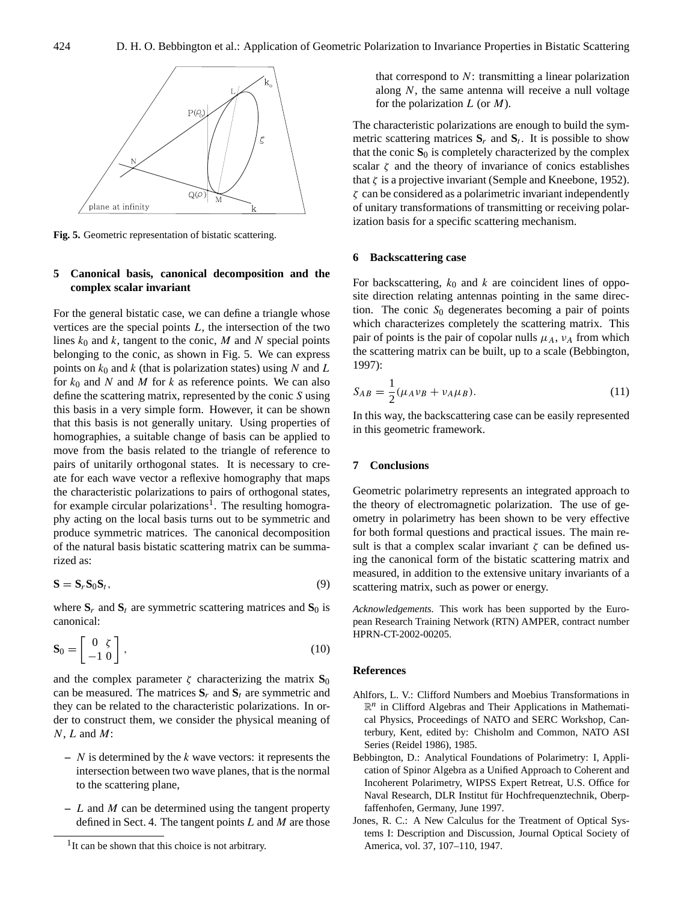

<span id="page-3-2"></span>**Fig. 5.** Geometric representation of bistatic scattering.

## **5 Canonical basis, canonical decomposition and the complex scalar invariant**

For the general bistatic case, we can define a triangle whose vertices are the special points  $L$ , the intersection of the two lines  $k_0$  and k, tangent to the conic, M and N special points belonging to the conic, as shown in Fig. [5.](#page-3-2) We can express points on  $k_0$  and k (that is polarization states) using N and L for  $k_0$  and N and M for k as reference points. We can also define the scattering matrix, represented by the conic S using this basis in a very simple form. However, it can be shown that this basis is not generally unitary. Using properties of homographies, a suitable change of basis can be applied to move from the basis related to the triangle of reference to pairs of unitarily orthogonal states. It is necessary to create for each wave vector a reflexive homography that maps the characteristic polarizations to pairs of orthogonal states, for example circular polarizations<sup>[1](#page-3-3)</sup>. The resulting homography acting on the local basis turns out to be symmetric and produce symmetric matrices. The canonical decomposition of the natural basis bistatic scattering matrix can be summarized as:

$$
\mathbf{S} = \mathbf{S}_r \mathbf{S}_0 \mathbf{S}_t,\tag{9}
$$

where  $S_r$  and  $S_t$  are symmetric scattering matrices and  $S_0$  is canonical:

$$
\mathbf{S}_0 = \begin{bmatrix} 0 & \zeta \\ -1 & 0 \end{bmatrix},\tag{10}
$$

and the complex parameter  $\zeta$  characterizing the matrix  $\mathbf{S}_0$ can be measured. The matrices  $S_r$  and  $S_t$  are symmetric and they can be related to the characteristic polarizations. In order to construct them, we consider the physical meaning of  $N$ ,  $L$  and  $M$ :

- **–** N is determined by the k wave vectors: it represents the intersection between two wave planes, that is the normal to the scattering plane,
- **–** L and M can be determined using the tangent property defined in Sect. [4.](#page-2-5) The tangent points  $L$  and  $M$  are those

that correspond to  $N$ : transmitting a linear polarization along  $N$ , the same antenna will receive a null voltage for the polarization  $L$  (or  $M$ ).

The characteristic polarizations are enough to build the symmetric scattering matrices  $S_r$  and  $S_t$ . It is possible to show that the conic  $S_0$  is completely characterized by the complex scalar  $\zeta$  and the theory of invariance of conics establishes that  $\zeta$  is a projective invariant [\(Semple and Kneebone,](#page-4-6) [1952\)](#page-4-6).  $\zeta$  can be considered as a polarimetric invariant independently of unitary transformations of transmitting or receiving polarization basis for a specific scattering mechanism.

#### **6 Backscattering case**

For backscattering,  $k_0$  and k are coincident lines of opposite direction relating antennas pointing in the same direction. The conic  $S_0$  degenerates becoming a pair of points which characterizes completely the scattering matrix. This pair of points is the pair of copolar nulls  $\mu_A$ ,  $\nu_A$  from which the scattering matrix can be built, up to a scale [\(Bebbington,](#page-3-4) [1997\)](#page-3-4):

$$
S_{AB} = \frac{1}{2}(\mu_A \nu_B + \nu_A \mu_B). \tag{11}
$$

In this way, the backscattering case can be easily represented in this geometric framework.

#### **7 Conclusions**

Geometric polarimetry represents an integrated approach to the theory of electromagnetic polarization. The use of geometry in polarimetry has been shown to be very effective for both formal questions and practical issues. The main result is that a complex scalar invariant  $\zeta$  can be defined using the canonical form of the bistatic scattering matrix and measured, in addition to the extensive unitary invariants of a scattering matrix, such as power or energy.

*Acknowledgements.* This work has been supported by the European Research Training Network (RTN) AMPER, contract number HPRN-CT-2002-00205.

### **References**

- <span id="page-3-1"></span>Ahlfors, L. V.: Clifford Numbers and Moebius Transformations in  $\mathbb{R}^n$  in Clifford Algebras and Their Applications in Mathematical Physics, Proceedings of NATO and SERC Workshop, Canterbury, Kent, edited by: Chisholm and Common, NATO ASI Series (Reidel 1986), 1985.
- <span id="page-3-4"></span>Bebbington, D.: Analytical Foundations of Polarimetry: I, Application of Spinor Algebra as a Unified Approach to Coherent and Incoherent Polarimetry, WIPSS Expert Retreat, U.S. Office for Naval Research, DLR Institut für Hochfrequenztechnik, Oberpfaffenhofen, Germany, June 1997.
- <span id="page-3-0"></span>Jones, R. C.: A New Calculus for the Treatment of Optical Systems I: Description and Discussion, Journal Optical Society of America, vol. 37, 107–110, 1947.

<span id="page-3-3"></span><sup>&</sup>lt;sup>1</sup>It can be shown that this choice is not arbitrary.